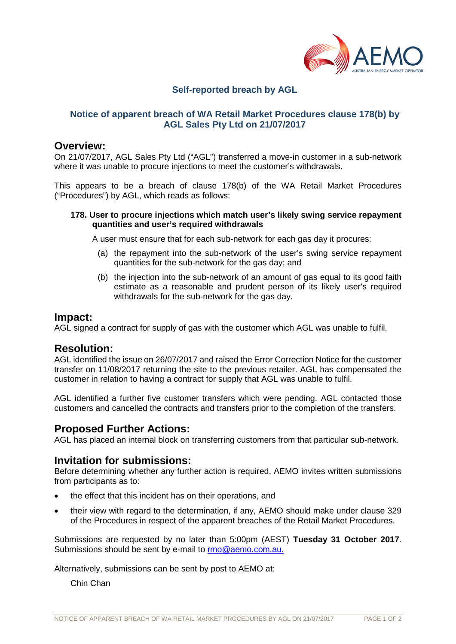

# **Self-reported breach by AGL**

## **Notice of apparent breach of WA Retail Market Procedures clause 178(b) by AGL Sales Pty Ltd on 21/07/2017**

## **Overview:**

On 21/07/2017, AGL Sales Pty Ltd ("AGL") transferred a move-in customer in a sub-network where it was unable to procure injections to meet the customer's withdrawals.

This appears to be a breach of clause 178(b) of the WA Retail Market Procedures ("Procedures") by AGL, which reads as follows:

#### **178. User to procure injections which match user's likely swing service repayment quantities and user's required withdrawals**

A user must ensure that for each sub-network for each gas day it procures:

- (a) the repayment into the sub-network of the user's swing service repayment quantities for the sub-network for the gas day; and
- (b) the injection into the sub-network of an amount of gas equal to its good faith estimate as a reasonable and prudent person of its likely user's required withdrawals for the sub-network for the gas day.

### **Impact:**

AGL signed a contract for supply of gas with the customer which AGL was unable to fulfil.

## **Resolution:**

AGL identified the issue on 26/07/2017 and raised the Error Correction Notice for the customer transfer on 11/08/2017 returning the site to the previous retailer. AGL has compensated the customer in relation to having a contract for supply that AGL was unable to fulfil.

AGL identified a further five customer transfers which were pending. AGL contacted those customers and cancelled the contracts and transfers prior to the completion of the transfers.

## **Proposed Further Actions:**

AGL has placed an internal block on transferring customers from that particular sub-network.

## **Invitation for submissions:**

Before determining whether any further action is required, AEMO invites written submissions from participants as to:

- the effect that this incident has on their operations, and
- their view with regard to the determination, if any, AEMO should make under clause 329 of the Procedures in respect of the apparent breaches of the Retail Market Procedures.

Submissions are requested by no later than 5:00pm (AEST) **Tuesday 31 October 2017**. Submissions should be sent by e-mail to [rmo@aemo.com.au.](mailto:rmo@aemo.com.au)

Alternatively, submissions can be sent by post to AEMO at:

Chin Chan